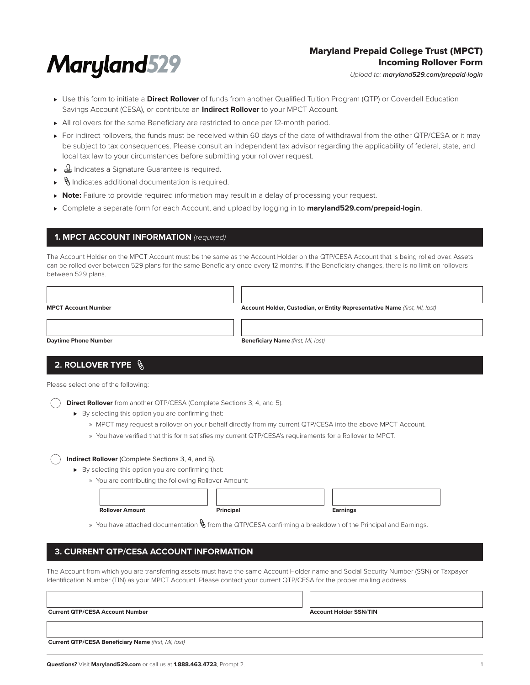# **Maryland529**

# Maryland Prepaid College Trust (MPCT) Incoming Rollover Form

*Upload to: maryland529.com/prepaid-login*

- ► Use this form to initiate a **Direct Rollover** of funds from another Qualified Tuition Program (QTP) or Coverdell Education Savings Account (CESA), or contribute an **Indirect Rollover** to your MPCT Account.
- ► All rollovers for the same Beneficiary are restricted to once per 12-month period.
- ► For indirect rollovers, the funds must be received within 60 days of the date of withdrawal from the other QTP/CESA or it may be subject to tax consequences. Please consult an independent tax advisor regarding the applicability of federal, state, and local tax law to your circumstances before submitting your rollover request.
- ► 4 Indicates a Signature Guarantee is required.
- ⊲ Indicates additional documentation is required.
- ► Note: Failure to provide required information may result in a delay of processing your request.
- ⊲ Complete a separate form for each Account, and upload by logging in to **maryland529.com/prepaid-login**.

## **1. MPCT ACCOUNT INFORMATION** *(required)*

The Account Holder on the MPCT Account must be the same as the Account Holder on the QTP/CESA Account that is being rolled over. Assets can be rolled over between 529 plans for the same Beneficiary once every 12 months. If the Beneficiary changes, there is no limit on rollovers between 529 plans.

| <b>MPCT Account Number</b> |  |
|----------------------------|--|

**Account Holder, Custodian, or Entity Representative Name** *(first, MI, last)*

**Daytime Phone Number**

**Beneficiary Name** *(first, MI, last)*

# **2. ROLLOVER TYPE**

Please select one of the following:

**Direct Rollover** from another QTP/CESA (Complete Sections 3, 4, and 5).

- ► By selecting this option you are confirming that:
	- » MPCT may request a rollover on your behalf directly from my current QTP/CESA into the above MPCT Account.
	- » You have verified that this form satisfies my current QTP/CESA's requirements for a Rollover to MPCT.

### **Indirect Rollover** (Complete Sections 3, 4, and 5).

- ► By selecting this option you are confirming that:
	- » You are contributing the following Rollover Amount:

| <b>Rollover Amount</b> | Principal | Earnings |
|------------------------|-----------|----------|
|                        |           |          |

| rincip? |  |
|---------|--|

» You have attached documentation  $\mathbb \backslash$  from the QTP/CESA confirming a breakdown of the Principal and Earnings.

# **3. CURRENT QTP/CESA ACCOUNT INFORMATION**

The Account from which you are transferring assets must have the same Account Holder name and Social Security Number (SSN) or Taxpayer Identification Number (TIN) as your MPCT Account. Please contact your current QTP/CESA for the proper mailing address.

**Account Holder SSN/TIN**

 **Current QTP/CESA Beneficiary Name** *(first, MI, last)*